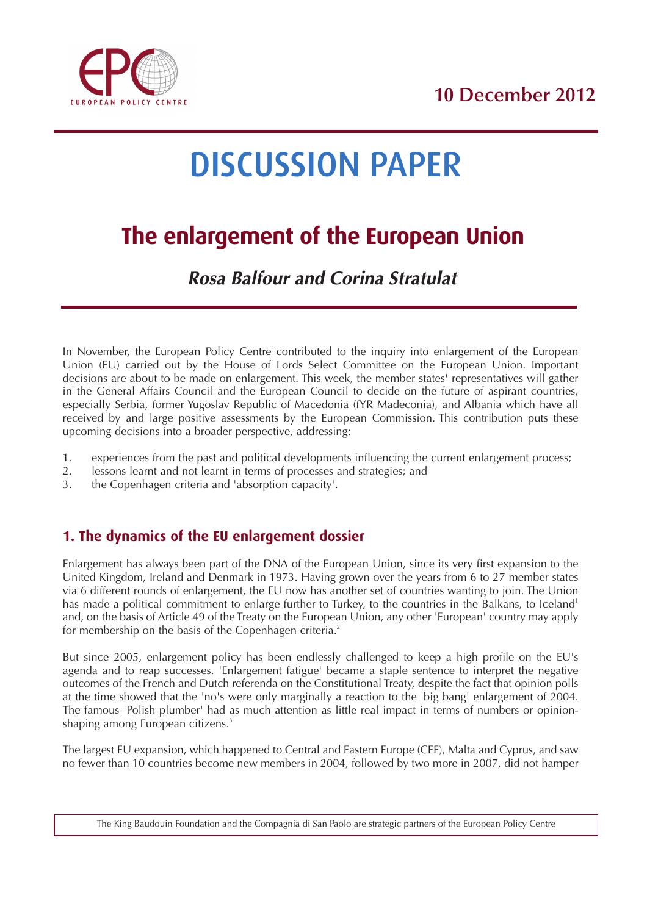

# DISCUSSION PAPER

## **The enlargement of the European Union**

### **Rosa Balfour and Corina Stratulat**

In November, the European Policy Centre contributed to the inquiry into enlargement of the European Union (EU) carried out by the House of Lords Select Committee on the European Union. Important decisions are about to be made on enlargement. This week, the member states' representatives will gather in the General Affairs Council and the European Council to decide on the future of aspirant countries, especially Serbia, former Yugoslav Republic of Macedonia (fYR Madeconia), and Albania which have all received by and large positive assessments by the European Commission. This contribution puts these upcoming decisions into a broader perspective, addressing:

- 1. experiences from the past and political developments influencing the current enlargement process;<br>2. lessons learnt and not learnt in terms of processes and strategies: and
- lessons learnt and not learnt in terms of processes and strategies; and
- 3. the Copenhagen criteria and 'absorption capacity'.

#### **1. The dynamics of the EU enlargement dossier**

Enlargement has always been part of the DNA of the European Union, since its very first expansion to the United Kingdom, Ireland and Denmark in 1973. Having grown over the years from 6 to 27 member states via 6 different rounds of enlargement, the EU now has another set of countries wanting to join. The Union has made a political commitment to enlarge further to Turkey, to the countries in the Balkans, to Iceland<sup>1</sup> and, on the basis of Article 49 of the Treaty on the European Union, any other 'European' country may apply for membership on the basis of the Copenhagen criteria.<sup>2</sup>

But since 2005, enlargement policy has been endlessly challenged to keep a high profile on the EU's agenda and to reap successes. 'Enlargement fatigue' became a staple sentence to interpret the negative outcomes of the French and Dutch referenda on the Constitutional Treaty, despite the fact that opinion polls at the time showed that the 'no's were only marginally a reaction to the 'big bang' enlargement of 2004. The famous 'Polish plumber' had as much attention as little real impact in terms of numbers or opinionshaping among European citizens.<sup>3</sup>

The largest EU expansion, which happened to Central and Eastern Europe (CEE), Malta and Cyprus, and saw no fewer than 10 countries become new members in 2004, followed by two more in 2007, did not hamper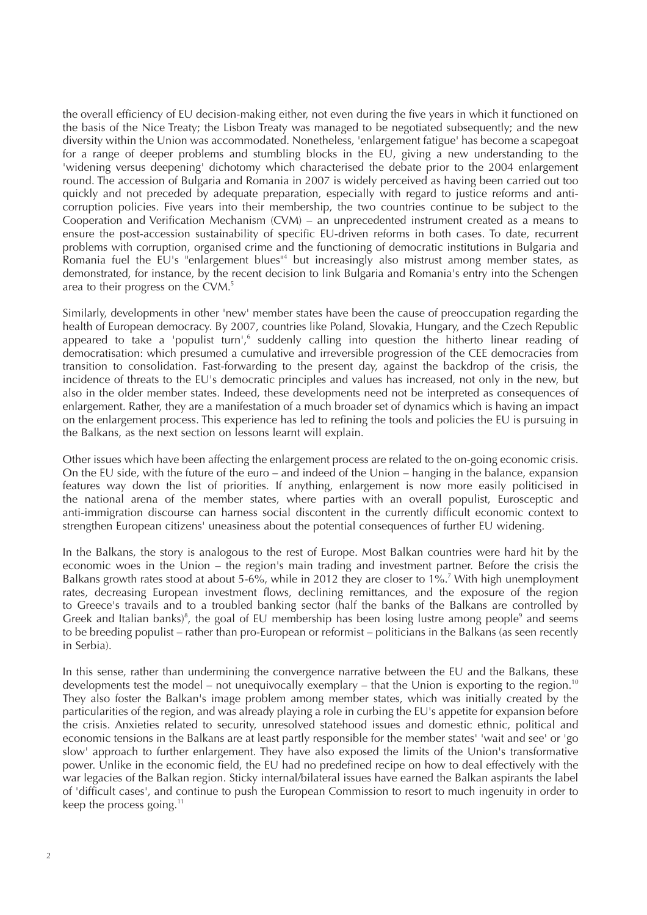the overall efficiency of EU decision-making either, not even during the five years in which it functioned on the basis of the Nice Treaty; the Lisbon Treaty was managed to be negotiated subsequently; and the new diversity within the Union was accommodated. Nonetheless, 'enlargement fatigue' has become a scapegoat for a range of deeper problems and stumbling blocks in the EU, giving a new understanding to the 'widening versus deepening' dichotomy which characterised the debate prior to the 2004 enlargement round. The accession of Bulgaria and Romania in 2007 is widely perceived as having been carried out too quickly and not preceded by adequate preparation, especially with regard to justice reforms and anticorruption policies. Five years into their membership, the two countries continue to be subject to the Cooperation and Verification Mechanism (CVM) – an unprecedented instrument created as a means to ensure the post-accession sustainability of specific EU-driven reforms in both cases. To date, recurrent problems with corruption, organised crime and the functioning of democratic institutions in Bulgaria and Romania fuel the EU's "enlargement blues"<sup>4</sup> but increasingly also mistrust among member states, as demonstrated, for instance, by the recent decision to link Bulgaria and Romania's entry into the Schengen area to their progress on the CVM.<sup>5</sup>

Similarly, developments in other 'new' member states have been the cause of preoccupation regarding the health of European democracy. By 2007, countries like Poland, Slovakia, Hungary, and the Czech Republic appeared to take a 'populist turn',<sup>6</sup> suddenly calling into question the hitherto linear reading of democratisation: which presumed a cumulative and irreversible progression of the CEE democracies from transition to consolidation. Fast-forwarding to the present day, against the backdrop of the crisis, the incidence of threats to the EU's democratic principles and values has increased, not only in the new, but also in the older member states. Indeed, these developments need not be interpreted as consequences of enlargement. Rather, they are a manifestation of a much broader set of dynamics which is having an impact on the enlargement process. This experience has led to refining the tools and policies the EU is pursuing in the Balkans, as the next section on lessons learnt will explain.

Other issues which have been affecting the enlargement process are related to the on-going economic crisis. On the EU side, with the future of the euro – and indeed of the Union – hanging in the balance, expansion features way down the list of priorities. If anything, enlargement is now more easily politicised in the national arena of the member states, where parties with an overall populist, Eurosceptic and anti-immigration discourse can harness social discontent in the currently difficult economic context to strengthen European citizens' uneasiness about the potential consequences of further EU widening.

In the Balkans, the story is analogous to the rest of Europe. Most Balkan countries were hard hit by the economic woes in the Union – the region's main trading and investment partner. Before the crisis the Balkans growth rates stood at about 5-6%, while in 2012 they are closer to 1%.<sup>7</sup> With high unemployment rates, decreasing European investment flows, declining remittances, and the exposure of the region to Greece's travails and to a troubled banking sector (half the banks of the Balkans are controlled by Greek and Italian banks)<sup>8</sup>, the goal of EU membership has been losing lustre among people<sup>9</sup> and seems to be breeding populist – rather than pro-European or reformist – politicians in the Balkans (as seen recently in Serbia).

In this sense, rather than undermining the convergence narrative between the EU and the Balkans, these developments test the model – not unequivocally exemplary – that the Union is exporting to the region.<sup>10</sup> They also foster the Balkan's image problem among member states, which was initially created by the particularities of the region, and was already playing a role in curbing the EU's appetite for expansion before the crisis. Anxieties related to security, unresolved statehood issues and domestic ethnic, political and economic tensions in the Balkans are at least partly responsible for the member states' 'wait and see' or 'go slow' approach to further enlargement. They have also exposed the limits of the Union's transformative power. Unlike in the economic field, the EU had no predefined recipe on how to deal effectively with the war legacies of the Balkan region. Sticky internal/bilateral issues have earned the Balkan aspirants the label of 'difficult cases', and continue to push the European Commission to resort to much ingenuity in order to keep the process going. $11$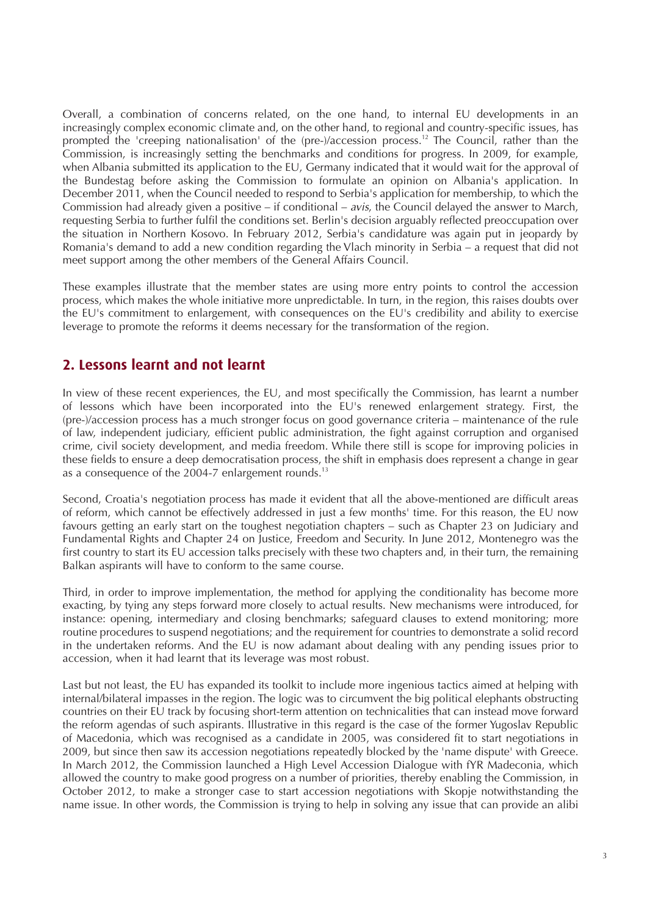Overall, a combination of concerns related, on the one hand, to internal EU developments in an increasingly complex economic climate and, on the other hand, to regional and country-specific issues, has prompted the 'creeping nationalisation' of the (pre-)/accession process.<sup>12</sup> The Council, rather than the Commission, is increasingly setting the benchmarks and conditions for progress. In 2009, for example, when Albania submitted its application to the EU, Germany indicated that it would wait for the approval of the Bundestag before asking the Commission to formulate an opinion on Albania's application. In December 2011, when the Council needed to respond to Serbia's application for membership, to which the Commission had already given a positive – if conditional – avis, the Council delayed the answer to March, requesting Serbia to further fulfil the conditions set. Berlin's decision arguably reflected preoccupation over the situation in Northern Kosovo. In February 2012, Serbia's candidature was again put in jeopardy by Romania's demand to add a new condition regarding the Vlach minority in Serbia – a request that did not meet support among the other members of the General Affairs Council.

These examples illustrate that the member states are using more entry points to control the accession process, which makes the whole initiative more unpredictable. In turn, in the region, this raises doubts over the EU's commitment to enlargement, with consequences on the EU's credibility and ability to exercise leverage to promote the reforms it deems necessary for the transformation of the region.

#### **2. Lessons learnt and not learnt**

In view of these recent experiences, the EU, and most specifically the Commission, has learnt a number of lessons which have been incorporated into the EU's renewed enlargement strategy. First, the (pre-)/accession process has a much stronger focus on good governance criteria – maintenance of the rule of law, independent judiciary, efficient public administration, the fight against corruption and organised crime, civil society development, and media freedom. While there still is scope for improving policies in these fields to ensure a deep democratisation process, the shift in emphasis does represent a change in gear as a consequence of the 2004-7 enlargement rounds.<sup>13</sup>

Second, Croatia's negotiation process has made it evident that all the above-mentioned are difficult areas of reform, which cannot be effectively addressed in just a few months' time. For this reason, the EU now favours getting an early start on the toughest negotiation chapters – such as Chapter 23 on Judiciary and Fundamental Rights and Chapter 24 on Justice, Freedom and Security. In June 2012, Montenegro was the first country to start its EU accession talks precisely with these two chapters and, in their turn, the remaining Balkan aspirants will have to conform to the same course.

Third, in order to improve implementation, the method for applying the conditionality has become more exacting, by tying any steps forward more closely to actual results. New mechanisms were introduced, for instance: opening, intermediary and closing benchmarks; safeguard clauses to extend monitoring; more routine procedures to suspend negotiations; and the requirement for countries to demonstrate a solid record in the undertaken reforms. And the EU is now adamant about dealing with any pending issues prior to accession, when it had learnt that its leverage was most robust.

Last but not least, the EU has expanded its toolkit to include more ingenious tactics aimed at helping with internal/bilateral impasses in the region. The logic was to circumvent the big political elephants obstructing countries on their EU track by focusing short-term attention on technicalities that can instead move forward the reform agendas of such aspirants. Illustrative in this regard is the case of the former Yugoslav Republic of Macedonia, which was recognised as a candidate in 2005, was considered fit to start negotiations in 2009, but since then saw its accession negotiations repeatedly blocked by the 'name dispute' with Greece. In March 2012, the Commission launched a High Level Accession Dialogue with fYR Madeconia, which allowed the country to make good progress on a number of priorities, thereby enabling the Commission, in October 2012, to make a stronger case to start accession negotiations with Skopje notwithstanding the name issue. In other words, the Commission is trying to help in solving any issue that can provide an alibi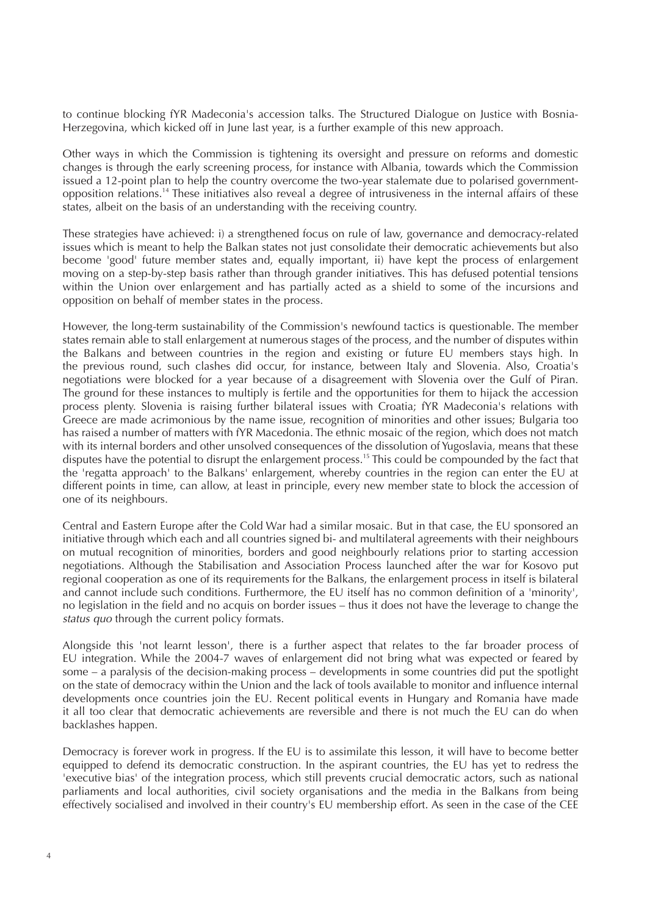to continue blocking fYR Madeconia's accession talks. The Structured Dialogue on Justice with Bosnia-Herzegovina, which kicked off in June last year, is a further example of this new approach.

Other ways in which the Commission is tightening its oversight and pressure on reforms and domestic changes is through the early screening process, for instance with Albania, towards which the Commission issued a 12-point plan to help the country overcome the two-year stalemate due to polarised governmentopposition relations.14 These initiatives also reveal a degree of intrusiveness in the internal affairs of these states, albeit on the basis of an understanding with the receiving country.

These strategies have achieved: i) a strengthened focus on rule of law, governance and democracy-related issues which is meant to help the Balkan states not just consolidate their democratic achievements but also become 'good' future member states and, equally important, ii) have kept the process of enlargement moving on a step-by-step basis rather than through grander initiatives. This has defused potential tensions within the Union over enlargement and has partially acted as a shield to some of the incursions and opposition on behalf of member states in the process.

However, the long-term sustainability of the Commission's newfound tactics is questionable. The member states remain able to stall enlargement at numerous stages of the process, and the number of disputes within the Balkans and between countries in the region and existing or future EU members stays high. In the previous round, such clashes did occur, for instance, between Italy and Slovenia. Also, Croatia's negotiations were blocked for a year because of a disagreement with Slovenia over the Gulf of Piran. The ground for these instances to multiply is fertile and the opportunities for them to hijack the accession process plenty. Slovenia is raising further bilateral issues with Croatia; fYR Madeconia's relations with Greece are made acrimonious by the name issue, recognition of minorities and other issues; Bulgaria too has raised a number of matters with fYR Macedonia. The ethnic mosaic of the region, which does not match with its internal borders and other unsolved consequences of the dissolution of Yugoslavia, means that these disputes have the potential to disrupt the enlargement process.<sup>15</sup> This could be compounded by the fact that the 'regatta approach' to the Balkans' enlargement, whereby countries in the region can enter the EU at different points in time, can allow, at least in principle, every new member state to block the accession of one of its neighbours.

Central and Eastern Europe after the Cold War had a similar mosaic. But in that case, the EU sponsored an initiative through which each and all countries signed bi- and multilateral agreements with their neighbours on mutual recognition of minorities, borders and good neighbourly relations prior to starting accession negotiations. Although the Stabilisation and Association Process launched after the war for Kosovo put regional cooperation as one of its requirements for the Balkans, the enlargement process in itself is bilateral and cannot include such conditions. Furthermore, the EU itself has no common definition of a 'minority', no legislation in the field and no acquis on border issues – thus it does not have the leverage to change the status quo through the current policy formats.

Alongside this 'not learnt lesson', there is a further aspect that relates to the far broader process of EU integration. While the 2004-7 waves of enlargement did not bring what was expected or feared by some  $-\tilde{a}$  paralysis of the decision-making process – developments in some countries did put the spotlight on the state of democracy within the Union and the lack of tools available to monitor and influence internal developments once countries join the EU. Recent political events in Hungary and Romania have made it all too clear that democratic achievements are reversible and there is not much the EU can do when backlashes happen.

Democracy is forever work in progress. If the EU is to assimilate this lesson, it will have to become better equipped to defend its democratic construction. In the aspirant countries, the EU has yet to redress the 'executive bias' of the integration process, which still prevents crucial democratic actors, such as national parliaments and local authorities, civil society organisations and the media in the Balkans from being effectively socialised and involved in their country's EU membership effort. As seen in the case of the CEE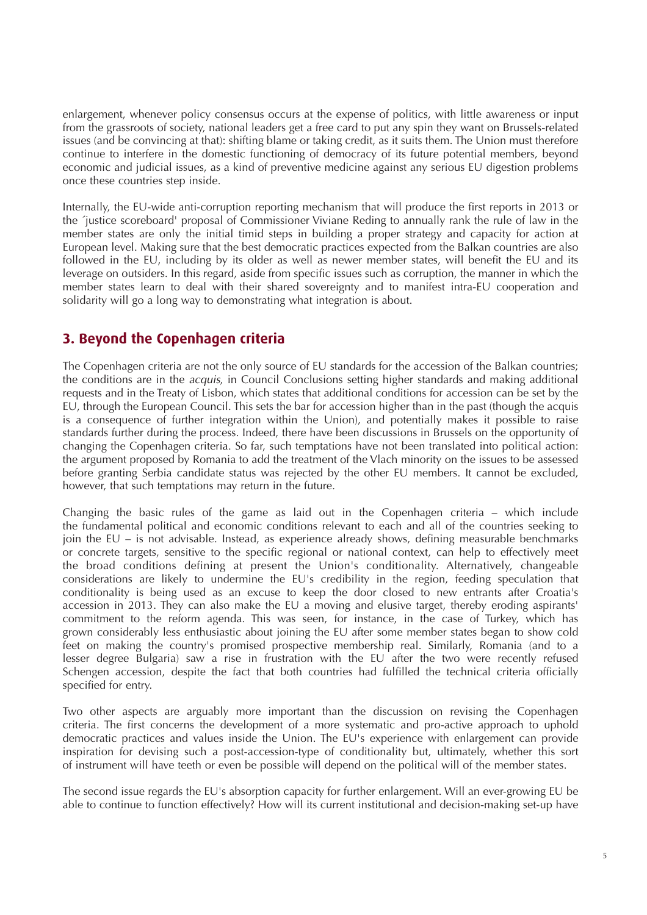enlargement, whenever policy consensus occurs at the expense of politics, with little awareness or input from the grassroots of society, national leaders get a free card to put any spin they want on Brussels-related issues (and be convincing at that): shifting blame or taking credit, as it suits them. The Union must therefore continue to interfere in the domestic functioning of democracy of its future potential members, beyond economic and judicial issues, as a kind of preventive medicine against any serious EU digestion problems once these countries step inside.

Internally, the EU-wide anti-corruption reporting mechanism that will produce the first reports in 2013 or the ´justice scoreboard' proposal of Commissioner Viviane Reding to annually rank the rule of law in the member states are only the initial timid steps in building a proper strategy and capacity for action at European level. Making sure that the best democratic practices expected from the Balkan countries are also followed in the EU, including by its older as well as newer member states, will benefit the EU and its leverage on outsiders. In this regard, aside from specific issues such as corruption, the manner in which the member states learn to deal with their shared sovereignty and to manifest intra-EU cooperation and solidarity will go a long way to demonstrating what integration is about.

#### **3. Beyond the Copenhagen criteria**

The Copenhagen criteria are not the only source of EU standards for the accession of the Balkan countries; the conditions are in the acquis, in Council Conclusions setting higher standards and making additional requests and in the Treaty of Lisbon, which states that additional conditions for accession can be set by the EU, through the European Council. This sets the bar for accession higher than in the past (though the acquis is a consequence of further integration within the Union), and potentially makes it possible to raise standards further during the process. Indeed, there have been discussions in Brussels on the opportunity of changing the Copenhagen criteria. So far, such temptations have not been translated into political action: the argument proposed by Romania to add the treatment of the Vlach minority on the issues to be assessed before granting Serbia candidate status was rejected by the other EU members. It cannot be excluded, however, that such temptations may return in the future.

Changing the basic rules of the game as laid out in the Copenhagen criteria – which include the fundamental political and economic conditions relevant to each and all of the countries seeking to join the EU – is not advisable. Instead, as experience already shows, defining measurable benchmarks or concrete targets, sensitive to the specific regional or national context, can help to effectively meet the broad conditions defining at present the Union's conditionality. Alternatively, changeable considerations are likely to undermine the EU's credibility in the region, feeding speculation that conditionality is being used as an excuse to keep the door closed to new entrants after Croatia's accession in 2013. They can also make the EU a moving and elusive target, thereby eroding aspirants' commitment to the reform agenda. This was seen, for instance, in the case of Turkey, which has grown considerably less enthusiastic about joining the EU after some member states began to show cold feet on making the country's promised prospective membership real. Similarly, Romania (and to a lesser degree Bulgaria) saw a rise in frustration with the EU after the two were recently refused Schengen accession, despite the fact that both countries had fulfilled the technical criteria officially specified for entry.

Two other aspects are arguably more important than the discussion on revising the Copenhagen criteria. The first concerns the development of a more systematic and pro-active approach to uphold democratic practices and values inside the Union. The EU's experience with enlargement can provide inspiration for devising such a post-accession-type of conditionality but, ultimately, whether this sort of instrument will have teeth or even be possible will depend on the political will of the member states.

The second issue regards the EU's absorption capacity for further enlargement. Will an ever-growing EU be able to continue to function effectively? How will its current institutional and decision-making set-up have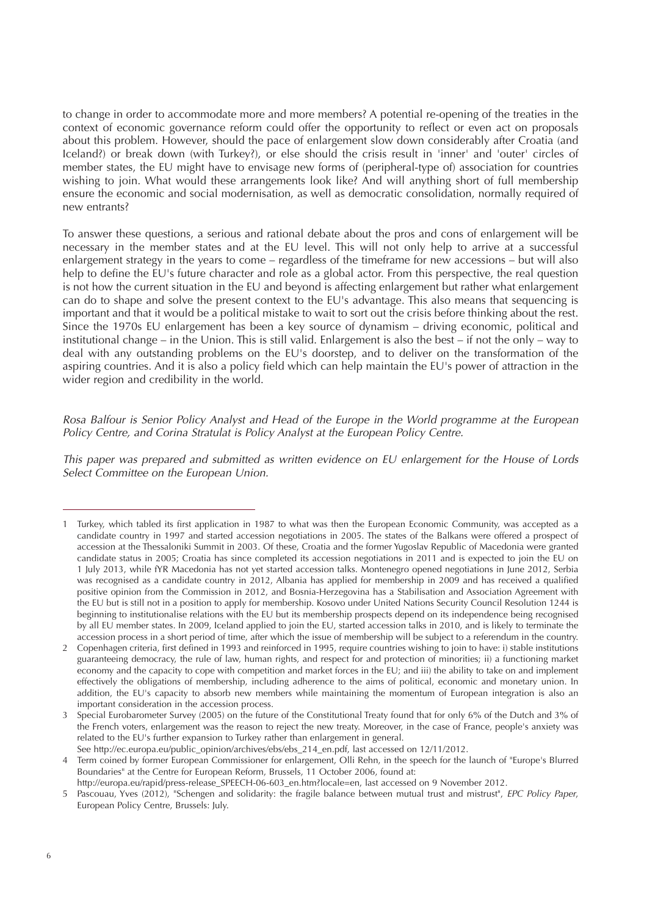to change in order to accommodate more and more members? A potential re-opening of the treaties in the context of economic governance reform could offer the opportunity to reflect or even act on proposals about this problem. However, should the pace of enlargement slow down considerably after Croatia (and Iceland?) or break down (with Turkey?), or else should the crisis result in 'inner' and 'outer' circles of member states, the EU might have to envisage new forms of (peripheral-type of) association for countries wishing to join. What would these arrangements look like? And will anything short of full membership ensure the economic and social modernisation, as well as democratic consolidation, normally required of new entrants?

To answer these questions, a serious and rational debate about the pros and cons of enlargement will be necessary in the member states and at the EU level. This will not only help to arrive at a successful enlargement strategy in the years to come – regardless of the timeframe for new accessions – but will also help to define the EU's future character and role as a global actor. From this perspective, the real question is not how the current situation in the EU and beyond is affecting enlargement but rather what enlargement can do to shape and solve the present context to the EU's advantage. This also means that sequencing is important and that it would be a political mistake to wait to sort out the crisis before thinking about the rest. Since the 1970s EU enlargement has been a key source of dynamism – driving economic, political and institutional change – in the Union. This is still valid. Enlargement is also the best – if not the only – way to deal with any outstanding problems on the EU's doorstep, and to deliver on the transformation of the aspiring countries. And it is also a policy field which can help maintain the EU's power of attraction in the wider region and credibility in the world.

Rosa Balfour is Senior Policy Analyst and Head of the Europe in the World programme at the European Policy Centre, and Corina Stratulat is Policy Analyst at the European Policy Centre.

This paper was prepared and submitted as written evidence on EU enlargement for the House of Lords Select Committee on the European Union.

<sup>1</sup> Turkey, which tabled its first application in 1987 to what was then the European Economic Community, was accepted as a candidate country in 1997 and started accession negotiations in 2005. The states of the Balkans were offered a prospect of accession at the Thessaloniki Summit in 2003. Of these, Croatia and the former Yugoslav Republic of Macedonia were granted candidate status in 2005; Croatia has since completed its accession negotiations in 2011 and is expected to join the EU on 1 July 2013, while fYR Macedonia has not yet started accession talks. Montenegro opened negotiations in June 2012, Serbia was recognised as a candidate country in 2012, Albania has applied for membership in 2009 and has received a qualified positive opinion from the Commission in 2012, and Bosnia-Herzegovina has a Stabilisation and Association Agreement with the EU but is still not in a position to apply for membership. Kosovo under United Nations Security Council Resolution 1244 is beginning to institutionalise relations with the EU but its membership prospects depend on its independence being recognised by all EU member states. In 2009, Iceland applied to join the EU, started accession talks in 2010, and is likely to terminate the accession process in a short period of time, after which the issue of membership will be subject to a referendum in the country.

<sup>2</sup> Copenhagen criteria, first defined in 1993 and reinforced in 1995, require countries wishing to join to have: i) stable institutions guaranteeing democracy, the rule of law, human rights, and respect for and protection of minorities; ii) a functioning market economy and the capacity to cope with competition and market forces in the EU; and iii) the ability to take on and implement effectively the obligations of membership, including adherence to the aims of political, economic and monetary union. In addition, the EU's capacity to absorb new members while maintaining the momentum of European integration is also an important consideration in the accession process.

<sup>3</sup> Special Eurobarometer Survey (2005) on the future of the Constitutional Treaty found that for only 6% of the Dutch and 3% of the French voters, enlargement was the reason to reject the new treaty. Moreover, in the case of France, people's anxiety was related to the EU's further expansion to Turkey rather than enlargement in general.

See http://ec.europa.eu/public\_opinion/archives/ebs/ebs\_214\_en.pdf, last accessed on 12/11/2012.

<sup>4</sup> Term coined by former European Commissioner for enlargement, Olli Rehn, in the speech for the launch of "Europe's Blurred Boundaries" at the Centre for European Reform, Brussels, 11 October 2006, found at:

http://europa.eu/rapid/press-release\_SPEECH-06-603\_en.htm?locale=en, last accessed on 9 November 2012.

<sup>5</sup> Pascouau, Yves (2012), "Schengen and solidarity: the fragile balance between mutual trust and mistrust", EPC Policy Paper, European Policy Centre, Brussels: July.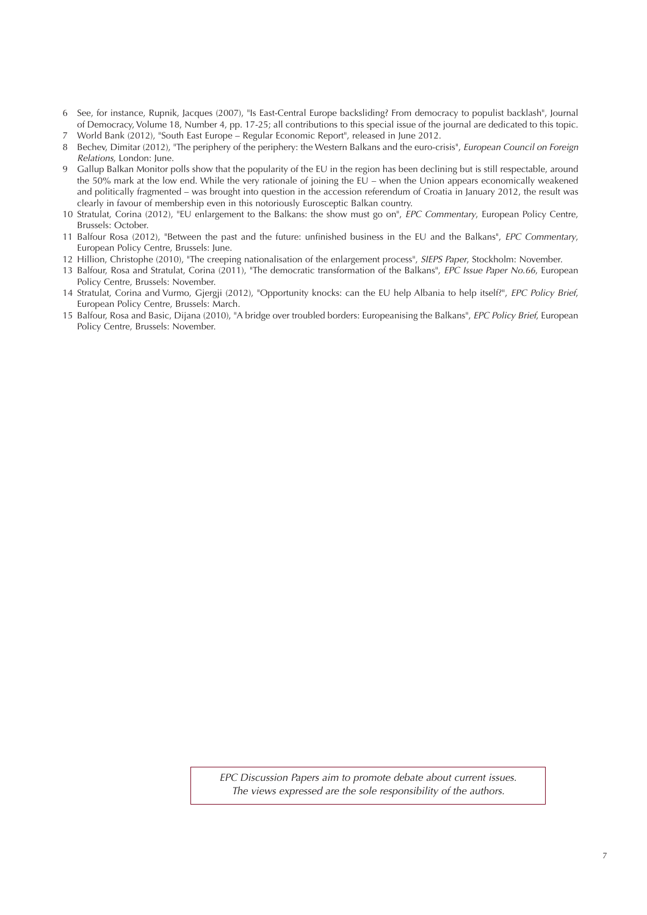- 6 See, for instance, Rupnik, Jacques (2007), "Is East-Central Europe backsliding? From democracy to populist backlash", Journal of Democracy, Volume 18, Number 4, pp. 17-25; all contributions to this special issue of the journal are dedicated to this topic. 7 World Bank (2012), "South East Europe – Regular Economic Report", released in June 2012.
- 8 Bechev, Dimitar (2012), "The periphery of the periphery: the Western Balkans and the euro-crisis", European Council on Foreign Relations, London: June.
- 9 Gallup Balkan Monitor polls show that the popularity of the EU in the region has been declining but is still respectable, around the 50% mark at the low end. While the very rationale of joining the  $E\breve{U}$  – when the Union appears economically weakened and politically fragmented – was brought into question in the accession referendum of Croatia in January 2012, the result was clearly in favour of membership even in this notoriously Eurosceptic Balkan country.
- 10 Stratulat, Corina (2012), "EU enlargement to the Balkans: the show must go on", EPC Commentary, European Policy Centre, Brussels: October.
- 11 Balfour Rosa (2012), "Between the past and the future: unfinished business in the EU and the Balkans", EPC Commentary, European Policy Centre, Brussels: June.
- 12 Hillion, Christophe (2010), "The creeping nationalisation of the enlargement process", SIEPS Paper, Stockholm: November.
- 13 Balfour, Rosa and Stratulat, Corina (2011), "The democratic transformation of the Balkans", EPC Issue Paper No.66, European Policy Centre, Brussels: November.
- 14 Stratulat, Corina and Vurmo, Giergii (2012), "Opportunity knocks: can the EU help Albania to help itself?", EPC Policy Brief, European Policy Centre, Brussels: March.
- 15 Balfour, Rosa and Basic, Dijana (2010), "A bridge over troubled borders: Europeanising the Balkans", EPC Policy Brief, European Policy Centre, Brussels: November.

EPC Discussion Papers aim to promote debate about current issues. The views expressed are the sole responsibility of the authors.